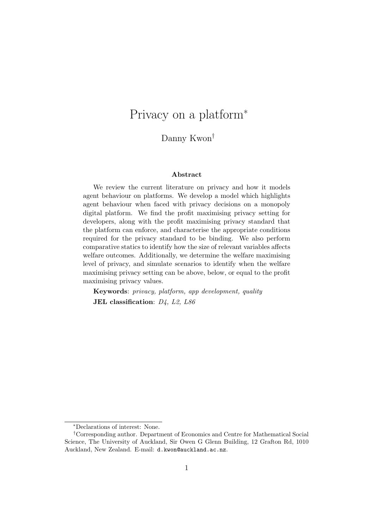# Privacy on a platform<sup>∗</sup>

### Danny Kwon†

#### Abstract

We review the current literature on privacy and how it models agent behaviour on platforms. We develop a model which highlights agent behaviour when faced with privacy decisions on a monopoly digital platform. We find the profit maximising privacy setting for developers, along with the profit maximising privacy standard that the platform can enforce, and characterise the appropriate conditions required for the privacy standard to be binding. We also perform comparative statics to identify how the size of relevant variables affects welfare outcomes. Additionally, we determine the welfare maximising level of privacy, and simulate scenarios to identify when the welfare maximising privacy setting can be above, below, or equal to the profit maximising privacy values.

Keywords: privacy, platform, app development, quality JEL classification:  $D_4$ ,  $L_2$ ,  $L_8$ 6

<sup>∗</sup>Declarations of interest: None.

<sup>†</sup>Corresponding author. Department of Economics and Centre for Mathematical Social Science, The University of Auckland, Sir Owen G Glenn Building, 12 Grafton Rd, 1010 Auckland, New Zealand. E-mail: d.kwon@auckland.ac.nz.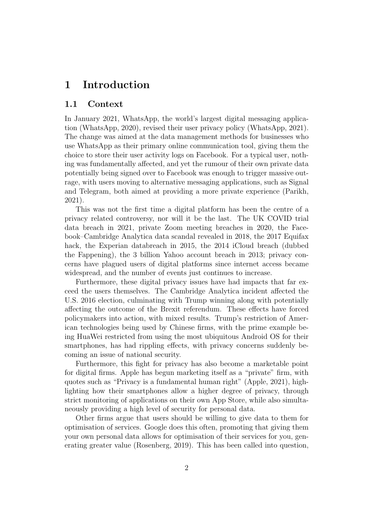## 1 Introduction

#### 1.1 Context

In January 2021, WhatsApp, the world's largest digital messaging application (WhatsApp, 2020), revised their user privacy policy (WhatsApp, 2021). The change was aimed at the data management methods for businesses who use WhatsApp as their primary online communication tool, giving them the choice to store their user activity logs on Facebook. For a typical user, nothing was fundamentally affected, and yet the rumour of their own private data potentially being signed over to Facebook was enough to trigger massive outrage, with users moving to alternative messaging applications, such as Signal and Telegram, both aimed at providing a more private experience (Parikh, 2021).

This was not the first time a digital platform has been the centre of a privacy related controversy, nor will it be the last. The UK COVID trial data breach in 2021, private Zoom meeting breaches in 2020, the Facebook–Cambridge Analytica data scandal revealed in 2018, the 2017 Equifax hack, the Experian databreach in 2015, the 2014 iCloud breach (dubbed the Fappening), the 3 billion Yahoo account breach in 2013; privacy concerns have plagued users of digital platforms since internet access became widespread, and the number of events just continues to increase.

Furthermore, these digital privacy issues have had impacts that far exceed the users themselves. The Cambridge Analytica incident affected the U.S. 2016 election, culminating with Trump winning along with potentially affecting the outcome of the Brexit referendum. These effects have forced policymakers into action, with mixed results. Trump's restriction of American technologies being used by Chinese firms, with the prime example being HuaWei restricted from using the most ubiquitous Android OS for their smartphones, has had rippling effects, with privacy concerns suddenly becoming an issue of national security.

Furthermore, this fight for privacy has also become a marketable point for digital firms. Apple has begun marketing itself as a "private" firm, with quotes such as "Privacy is a fundamental human right" (Apple, 2021), highlighting how their smartphones allow a higher degree of privacy, through strict monitoring of applications on their own App Store, while also simultaneously providing a high level of security for personal data.

Other firms argue that users should be willing to give data to them for optimisation of services. Google does this often, promoting that giving them your own personal data allows for optimisation of their services for you, generating greater value (Rosenberg, 2019). This has been called into question,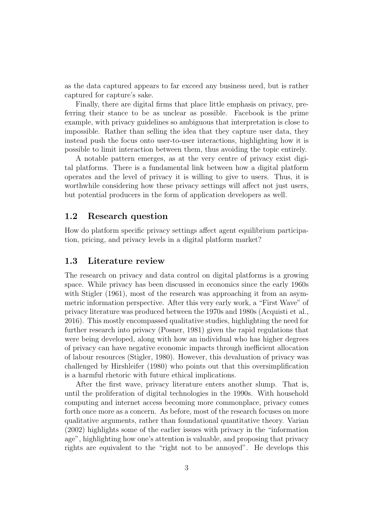as the data captured appears to far exceed any business need, but is rather captured for capture's sake.

Finally, there are digital firms that place little emphasis on privacy, preferring their stance to be as unclear as possible. Facebook is the prime example, with privacy guidelines so ambiguous that interpretation is close to impossible. Rather than selling the idea that they capture user data, they instead push the focus onto user-to-user interactions, highlighting how it is possible to limit interaction between them, thus avoiding the topic entirely.

A notable pattern emerges, as at the very centre of privacy exist digital platforms. There is a fundamental link between how a digital platform operates and the level of privacy it is willing to give to users. Thus, it is worthwhile considering how these privacy settings will affect not just users, but potential producers in the form of application developers as well.

#### 1.2 Research question

How do platform specific privacy settings affect agent equilibrium participation, pricing, and privacy levels in a digital platform market?

### 1.3 Literature review

The research on privacy and data control on digital platforms is a growing space. While privacy has been discussed in economics since the early 1960s with Stigler (1961), most of the research was approaching it from an asymmetric information perspective. After this very early work, a "First Wave" of privacy literature was produced between the 1970s and 1980s (Acquisti et al., 2016). This mostly encompassed qualitative studies, highlighting the need for further research into privacy (Posner, 1981) given the rapid regulations that were being developed, along with how an individual who has higher degrees of privacy can have negative economic impacts through inefficient allocation of labour resources (Stigler, 1980). However, this devaluation of privacy was challenged by Hirshleifer (1980) who points out that this oversimplification is a harmful rhetoric with future ethical implications.

After the first wave, privacy literature enters another slump. That is, until the proliferation of digital technologies in the 1990s. With household computing and internet access becoming more commonplace, privacy comes forth once more as a concern. As before, most of the research focuses on more qualitative arguments, rather than foundational quantitative theory. Varian (2002) highlights some of the earlier issues with privacy in the "information age", highlighting how one's attention is valuable, and proposing that privacy rights are equivalent to the "right not to be annoyed". He develops this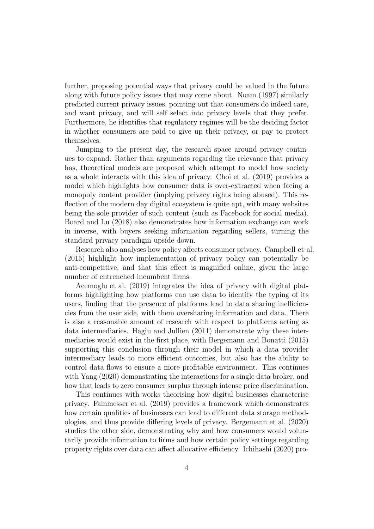further, proposing potential ways that privacy could be valued in the future along with future policy issues that may come about. Noam (1997) similarly predicted current privacy issues, pointing out that consumers do indeed care, and want privacy, and will self select into privacy levels that they prefer. Furthermore, he identifies that regulatory regimes will be the deciding factor in whether consumers are paid to give up their privacy, or pay to protect themselves.

Jumping to the present day, the research space around privacy continues to expand. Rather than arguments regarding the relevance that privacy has, theoretical models are proposed which attempt to model how society as a whole interacts with this idea of privacy. Choi et al. (2019) provides a model which highlights how consumer data is over-extracted when facing a monopoly content provider (implying privacy rights being abused). This reflection of the modern day digital ecosystem is quite apt, with many websites being the sole provider of such content (such as Facebook for social media). Board and Lu (2018) also demonstrates how information exchange can work in inverse, with buyers seeking information regarding sellers, turning the standard privacy paradigm upside down.

Research also analyses how policy affects consumer privacy. Campbell et al. (2015) highlight how implementation of privacy policy can potentially be anti-competitive, and that this effect is magnified online, given the large number of entrenched incumbent firms.

Acemoglu et al. (2019) integrates the idea of privacy with digital platforms highlighting how platforms can use data to identify the typing of its users, finding that the presence of platforms lead to data sharing inefficiencies from the user side, with them oversharing information and data. There is also a reasonable amount of research with respect to platforms acting as data intermediaries. Hagiu and Jullien (2011) demonstrate why these intermediaries would exist in the first place, with Bergemann and Bonatti (2015) supporting this conclusion through their model in which a data provider intermediary leads to more efficient outcomes, but also has the ability to control data flows to ensure a more profitable environment. This continues with Yang (2020) demonstrating the interactions for a single data broker, and how that leads to zero consumer surplus through intense price discrimination.

This continues with works theorising how digital businesses characterise privacy. Fainmesser et al. (2019) provides a framework which demonstrates how certain qualities of businesses can lead to different data storage methodologies, and thus provide differing levels of privacy. Bergemann et al. (2020) studies the other side, demonstrating why and how consumers would voluntarily provide information to firms and how certain policy settings regarding property rights over data can affect allocative efficiency. Ichihashi (2020) pro-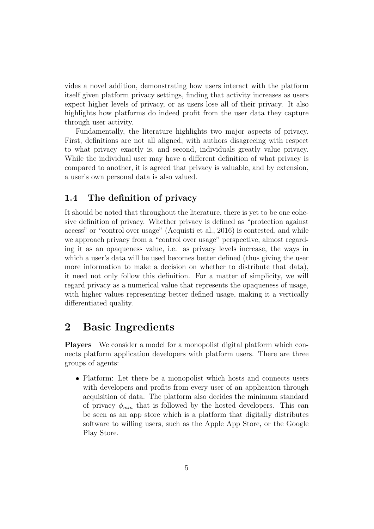vides a novel addition, demonstrating how users interact with the platform itself given platform privacy settings, finding that activity increases as users expect higher levels of privacy, or as users lose all of their privacy. It also highlights how platforms do indeed profit from the user data they capture through user activity.

Fundamentally, the literature highlights two major aspects of privacy. First, definitions are not all aligned, with authors disagreeing with respect to what privacy exactly is, and second, individuals greatly value privacy. While the individual user may have a different definition of what privacy is compared to another, it is agreed that privacy is valuable, and by extension, a user's own personal data is also valued.

### 1.4 The definition of privacy

It should be noted that throughout the literature, there is yet to be one cohesive definition of privacy. Whether privacy is defined as "protection against access" or "control over usage" (Acquisti et al., 2016) is contested, and while we approach privacy from a "control over usage" perspective, almost regarding it as an opaqueness value, i.e. as privacy levels increase, the ways in which a user's data will be used becomes better defined (thus giving the user more information to make a decision on whether to distribute that data), it need not only follow this definition. For a matter of simplicity, we will regard privacy as a numerical value that represents the opaqueness of usage, with higher values representing better defined usage, making it a vertically differentiated quality.

### 2 Basic Ingredients

Players We consider a model for a monopolist digital platform which connects platform application developers with platform users. There are three groups of agents:

• Platform: Let there be a monopolist which hosts and connects users with developers and profits from every user of an application through acquisition of data. The platform also decides the minimum standard of privacy  $\phi_{min}$  that is followed by the hosted developers. This can be seen as an app store which is a platform that digitally distributes software to willing users, such as the Apple App Store, or the Google Play Store.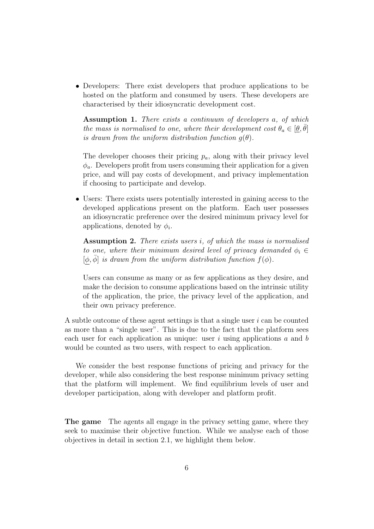• Developers: There exist developers that produce applications to be hosted on the platform and consumed by users. These developers are characterised by their idiosyncratic development cost.

Assumption 1. There exists a continuum of developers a, of which the mass is normalised to one, where their development cost  $\theta_a \in [\underline{\theta}, \overline{\theta}]$ is drawn from the uniform distribution function  $q(\theta)$ .

The developer chooses their pricing  $p_a$ , along with their privacy level  $\phi_a$ . Developers profit from users consuming their application for a given price, and will pay costs of development, and privacy implementation if choosing to participate and develop.

• Users: There exists users potentially interested in gaining access to the developed applications present on the platform. Each user possesses an idiosyncratic preference over the desired minimum privacy level for applications, denoted by  $\phi_i$ .

Assumption 2. There exists users *i*, of which the mass is normalised to one, where their minimum desired level of privacy demanded  $\phi_i \in$  $[\phi, \phi]$  is drawn from the uniform distribution function  $f(\phi)$ .

Users can consume as many or as few applications as they desire, and make the decision to consume applications based on the intrinsic utility of the application, the price, the privacy level of the application, and their own privacy preference.

A subtle outcome of these agent settings is that a single user i can be counted as more than a "single user". This is due to the fact that the platform sees each user for each application as unique: user  $i$  using applications  $a$  and  $b$ would be counted as two users, with respect to each application.

We consider the best response functions of pricing and privacy for the developer, while also considering the best response minimum privacy setting that the platform will implement. We find equilibrium levels of user and developer participation, along with developer and platform profit.

The game The agents all engage in the privacy setting game, where they seek to maximise their objective function. While we analyse each of those objectives in detail in section 2.1, we highlight them below.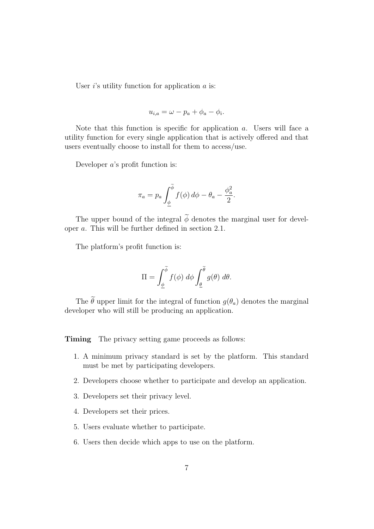User  $i$ 's utility function for application  $\alpha$  is:

$$
u_{i,a} = \omega - p_a + \phi_a - \phi_i.
$$

Note that this function is specific for application a. Users will face a utility function for every single application that is actively offered and that users eventually choose to install for them to access/use.

Developer a's profit function is:

$$
\pi_a = p_a \int_{\underline{\phi}}^{\widetilde{\phi}} f(\phi) d\phi - \theta_a - \frac{\phi_a^2}{2}.
$$

The upper bound of the integral  $\widetilde{\phi}$  denotes the marginal user for developer a. This will be further defined in section 2.1.

The platform's profit function is:

$$
\Pi = \int_{\underline{\phi}}^{\widetilde{\phi}} f(\phi) \, d\phi \int_{\underline{\theta}}^{\widetilde{\theta}} g(\theta) \, d\theta.
$$

The  $\tilde{\theta}$  upper limit for the integral of function  $g(\theta_a)$  denotes the marginal developer who will still be producing an application.

**Timing** The privacy setting game proceeds as follows:

- 1. A minimum privacy standard is set by the platform. This standard must be met by participating developers.
- 2. Developers choose whether to participate and develop an application.
- 3. Developers set their privacy level.
- 4. Developers set their prices.
- 5. Users evaluate whether to participate.
- 6. Users then decide which apps to use on the platform.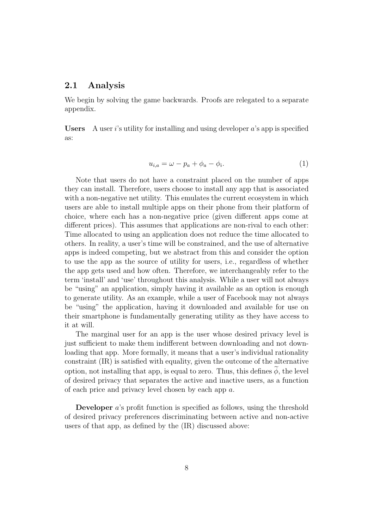#### 2.1 Analysis

We begin by solving the game backwards. Proofs are relegated to a separate appendix.

Users A user i's utility for installing and using developer  $a$ 's app is specified as:

$$
u_{i,a} = \omega - p_a + \phi_a - \phi_i. \tag{1}
$$

Note that users do not have a constraint placed on the number of apps they can install. Therefore, users choose to install any app that is associated with a non-negative net utility. This emulates the current ecosystem in which users are able to install multiple apps on their phone from their platform of choice, where each has a non-negative price (given different apps come at different prices). This assumes that applications are non-rival to each other: Time allocated to using an application does not reduce the time allocated to others. In reality, a user's time will be constrained, and the use of alternative apps is indeed competing, but we abstract from this and consider the option to use the app as the source of utility for users, i.e., regardless of whether the app gets used and how often. Therefore, we interchangeably refer to the term 'install' and 'use' throughout this analysis. While a user will not always be "using" an application, simply having it available as an option is enough to generate utility. As an example, while a user of Facebook may not always be "using" the application, having it downloaded and available for use on their smartphone is fundamentally generating utility as they have access to it at will.

The marginal user for an app is the user whose desired privacy level is just sufficient to make them indifferent between downloading and not downloading that app. More formally, it means that a user's individual rationality constraint (IR) is satisfied with equality, given the outcome of the alternative option, not installing that app, is equal to zero. Thus, this defines  $\phi$ , the level of desired privacy that separates the active and inactive users, as a function of each price and privacy level chosen by each app a.

Developer a's profit function is specified as follows, using the threshold of desired privacy preferences discriminating between active and non-active users of that app, as defined by the (IR) discussed above: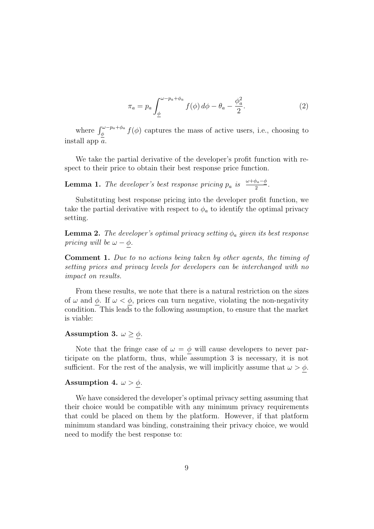$$
\pi_a = p_a \int_{\phi}^{\omega - p_a + \phi_a} f(\phi) d\phi - \theta_a - \frac{\phi_a^2}{2}.
$$
 (2)

where  $\int_{\phi}^{\omega-p_a+\phi_a} f(\phi)$  captures the mass of active users, i.e., choosing to install app  $\bar{a}$ .

We take the partial derivative of the developer's profit function with respect to their price to obtain their best response price function.

**Lemma 1.** The developer's best response pricing  $p_a$  is  $\frac{\omega + \phi_a - \phi}{2}$ .

Substituting best response pricing into the developer profit function, we take the partial derivative with respect to  $\phi_a$  to identify the optimal privacy setting.

**Lemma 2.** The developer's optimal privacy setting  $\phi_a$  given its best response pricing will be  $\omega - \phi$ .

Comment 1. Due to no actions being taken by other agents, the timing of setting prices and privacy levels for developers can be interchanged with no impact on results.

From these results, we note that there is a natural restriction on the sizes of  $\omega$  and  $\phi$ . If  $\omega < \phi$ , prices can turn negative, violating the non-negativity condition. This leads to the following assumption, to ensure that the market is viable:

#### Assumption 3.  $\omega \geq \phi$ .

Note that the fringe case of  $\omega = \phi$  will cause developers to never participate on the platform, thus, while assumption 3 is necessary, it is not sufficient. For the rest of the analysis, we will implicitly assume that  $\omega > \phi$ .

#### Assumption 4.  $\omega > \phi$ .

We have considered the developer's optimal privacy setting assuming that their choice would be compatible with any minimum privacy requirements that could be placed on them by the platform. However, if that platform minimum standard was binding, constraining their privacy choice, we would need to modify the best response to: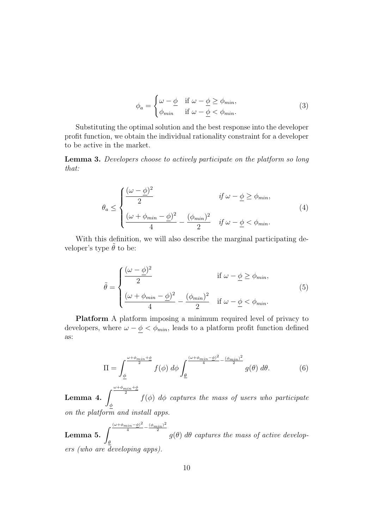$$
\phi_a = \begin{cases} \omega - \underline{\phi} & \text{if } \omega - \underline{\phi} \ge \phi_{min}, \\ \phi_{min} & \text{if } \omega - \underline{\phi} < \phi_{min}. \end{cases}
$$
 (3)

Substituting the optimal solution and the best response into the developer profit function, we obtain the individual rationality constraint for a developer to be active in the market.

Lemma 3. Developers choose to actively participate on the platform so long that:

$$
\theta_a \le \begin{cases}\n\frac{(\omega - \underline{\phi})^2}{2} & \text{if } \omega - \underline{\phi} \ge \phi_{min}, \\
\frac{(\omega + \phi_{min} - \underline{\phi})^2}{4} - \frac{(\phi_{min})^2}{2} & \text{if } \omega - \underline{\phi} < \phi_{min}.\n\end{cases}
$$
\n(4)

With this definition, we will also describe the marginal participating developer's type  $\tilde{\theta}$  to be:

$$
\tilde{\theta} = \begin{cases}\n\frac{(\omega - \phi)^2}{2} & \text{if } \omega - \underline{\phi} \ge \phi_{min}, \\
\frac{(\omega + \phi_{min} - \underline{\phi})^2}{4} - \frac{(\phi_{min})^2}{2} & \text{if } \omega - \underline{\phi} < \phi_{min}.\n\end{cases}
$$
\n(5)

Platform A platform imposing a minimum required level of privacy to developers, where  $\omega - \phi < \phi_{min}$ , leads to a platform profit function defined as:

$$
\Pi = \int_{\underline{\phi}}^{\frac{\omega + \phi_{min} + \underline{\phi}}{2}} f(\phi) d\phi \int_{\underline{\theta}}^{\frac{(\omega + \phi_{min} - \underline{\phi})^2}{4} - \frac{(\phi_{min})^2}{2}} g(\theta) d\theta.
$$
 (6)

Lemma 4.  $\int^{\frac{\omega+\phi_{min}+\phi}{2}}$ 2 φ  $f(\phi)$  d $\phi$  captures the mass of users who participate on the platform and install apps.

Lemma 5.  $\int^{\frac{(\omega+\phi_{min}-\underline{\phi})^2}{4}-\frac{(\phi_{min})^2}{2}}$ 2 θ  $g(\theta)$  d $\theta$  captures the mass of active developers (who are developing apps).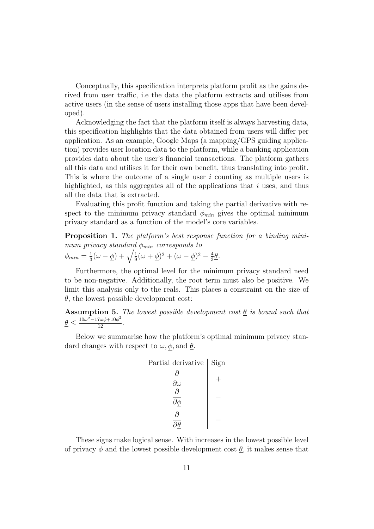Conceptually, this specification interprets platform profit as the gains derived from user traffic, i.e the data the platform extracts and utilises from active users (in the sense of users installing those apps that have been developed).

Acknowledging the fact that the platform itself is always harvesting data, this specification highlights that the data obtained from users will differ per application. As an example, Google Maps (a mapping/GPS guiding application) provides user location data to the platform, while a banking application provides data about the user's financial transactions. The platform gathers all this data and utilises it for their own benefit, thus translating into profit. This is where the outcome of a single user i counting as multiple users is highlighted, as this aggregates all of the applications that  $i$  uses, and thus all the data that is extracted.

Evaluating this profit function and taking the partial derivative with respect to the minimum privacy standard  $\phi_{min}$  gives the optimal minimum privacy standard as a function of the model's core variables.

Proposition 1. The platform's best response function for a binding minimum privacy standard  $\phi_{min}$  corresponds to  $\phi_{min}=\frac{1}{3}$  $\frac{1}{3}(\omega-\phi)+\sqrt{\frac{1}{9}(\omega+\phi)^2+(\omega-\phi)^2-\frac{4}{3}}$  $rac{4}{3}$  $\theta$ .

Furthermore, the optimal level for the minimum privacy standard need to be non-negative. Additionally, the root term must also be positive. We limit this analysis only to the reals. This places a constraint on the size of  $\theta$ , the lowest possible development cost:

**Assumption 5.** The lowest possible development cost  $\underline{\theta}$  is bound such that  $\underline{\theta} \leq \frac{10\omega^2 - 17\omega\phi + 10\phi^2}{12}.$ 

Below we summarise how the platform's optimal minimum privacy standard changes with respect to  $\omega, \phi$ , and  $\underline{\theta}$ .

| Partial derivative            | Sign |
|-------------------------------|------|
| д<br>$\partial \omega$        |      |
| $\partial$<br>$\partial \phi$ |      |
| д                             |      |

These signs make logical sense. With increases in the lowest possible level of privacy  $\phi$  and the lowest possible development cost  $\theta$ , it makes sense that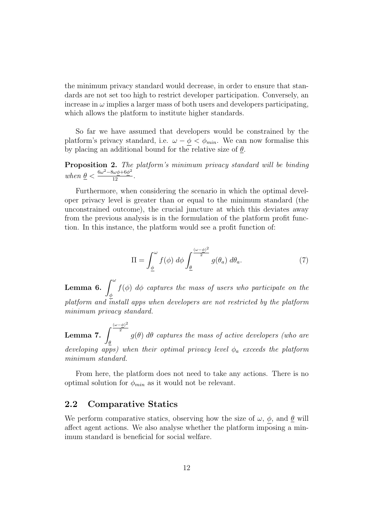the minimum privacy standard would decrease, in order to ensure that standards are not set too high to restrict developer participation. Conversely, an increase in  $\omega$  implies a larger mass of both users and developers participating, which allows the platform to institute higher standards.

So far we have assumed that developers would be constrained by the platform's privacy standard, i.e.  $\omega - \underline{\phi} < \phi_{min}$ . We can now formalise this by placing an additional bound for the relative size of  $\theta$ .

**Proposition 2.** The platform's minimum privacy standard will be binding when  $\underline{\theta} < \frac{6\omega^2 - 8\omega\phi + 6\phi^2}{12}$ .

Furthermore, when considering the scenario in which the optimal developer privacy level is greater than or equal to the minimum standard (the unconstrained outcome), the crucial juncture at which this deviates away from the previous analysis is in the formulation of the platform profit function. In this instance, the platform would see a profit function of:

$$
\Pi = \int_{\underline{\phi}}^{\omega} f(\phi) \, d\phi \int_{\underline{\theta}}^{\frac{(\omega - \underline{\phi})^2}{2}} g(\theta_a) \, d\theta_a. \tag{7}
$$

Lemma 6.  $\int^\omega$ φ  $f(\phi)$  d $\phi$  captures the mass of users who participate on the platform and install apps when developers are not restricted by the platform minimum privacy standard.

Lemma 7.  $\int^{\frac{(\omega-\phi)^2}{2}}$ 2 θ  $g(\theta)$  d $\theta$  captures the mass of active developers (who are developing apps) when their optimal privacy level  $\phi_a$  exceeds the platform minimum standard.

From here, the platform does not need to take any actions. There is no optimal solution for  $\phi_{min}$  as it would not be relevant.

#### 2.2 Comparative Statics

We perform comparative statics, observing how the size of  $\omega$ ,  $\phi$ , and  $\underline{\theta}$  will affect agent actions. We also analyse whether the platform imposing a minimum standard is beneficial for social welfare.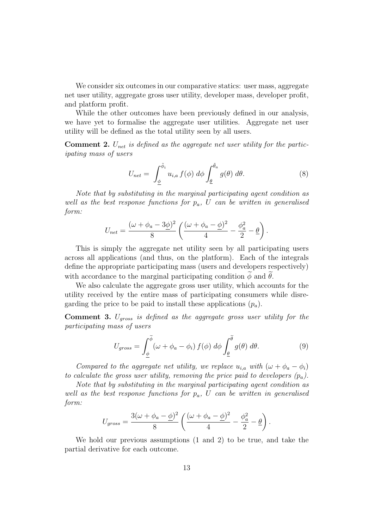We consider six outcomes in our comparative statics: user mass, aggregate net user utility, aggregate gross user utility, developer mass, developer profit, and platform profit.

While the other outcomes have been previously defined in our analysis, we have yet to formalise the aggregate user utilities. Aggregate net user utility will be defined as the total utility seen by all users.

**Comment 2.**  $U_{net}$  is defined as the aggregate net user utility for the participating mass of users

$$
U_{net} = \int_{\underline{\phi}}^{\tilde{\phi}_i} u_{i,a} f(\phi) d\phi \int_{\underline{\theta}}^{\tilde{\theta}_a} g(\theta) d\theta.
$$
 (8)

Note that by substituting in the marginal participating agent condition as well as the best response functions for  $p_a$ , U can be written in generalised form:

$$
U_{net} = \frac{(\omega + \phi_a - 3\underline{\phi})^2}{8} \left( \frac{(\omega + \phi_a - \underline{\phi})^2}{4} - \frac{\phi_a^2}{2} - \underline{\theta} \right).
$$

This is simply the aggregate net utility seen by all participating users across all applications (and thus, on the platform). Each of the integrals define the appropriate participating mass (users and developers respectively) with accordance to the marginal participating condition  $\phi$  and  $\theta$ .

We also calculate the aggregate gross user utility, which accounts for the utility received by the entire mass of participating consumers while disregarding the price to be paid to install these applications  $(p_a)$ .

**Comment 3.**  $U_{gross}$  is defined as the aggregate gross user utility for the participating mass of users

$$
U_{gross} = \int_{\underline{\phi}}^{\widetilde{\phi}} (\omega + \phi_a - \phi_i) f(\phi) d\phi \int_{\underline{\theta}}^{\widetilde{\theta}} g(\theta) d\theta.
$$
 (9)

Compared to the aggregate net utility, we replace  $u_{i,a}$  with  $(\omega + \phi_a - \phi_i)$ to calculate the gross user utility, removing the price paid to developers  $(p_a)$ .

Note that by substituting in the marginal participating agent condition as well as the best response functions for  $p_a$ , U can be written in generalised form:

$$
U_{gross} = \frac{3(\omega + \phi_a - \underline{\phi})^2}{8} \left( \frac{(\omega + \phi_a - \underline{\phi})^2}{4} - \frac{\phi_a^2}{2} - \underline{\theta} \right).
$$

We hold our previous assumptions (1 and 2) to be true, and take the partial derivative for each outcome.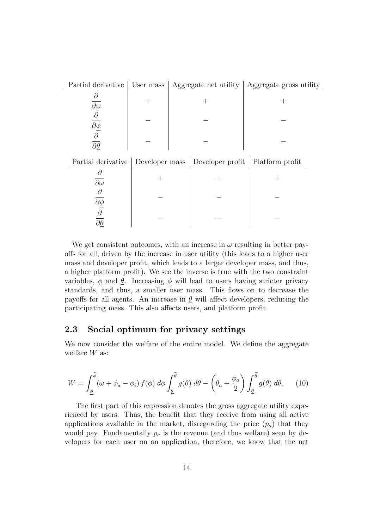| Partial derivative                                                          | User mass                       |  | Aggregate net utility | Aggregate gross utility |
|-----------------------------------------------------------------------------|---------------------------------|--|-----------------------|-------------------------|
| $\partial$<br>$\overline{\partial\omega}$                                   | $^+$                            |  |                       | $^{\mathrm{+}}$         |
| $\frac{\partial}{\partial \underline{\phi}}$                                |                                 |  |                       |                         |
| $\overline{\partial \theta}$                                                |                                 |  |                       |                         |
| Partial derivative                                                          | Developer mass Developer profit |  |                       | Platform profit         |
| $\partial$<br>$\overline{\partial\omega}$                                   |                                 |  |                       |                         |
| $\partial$                                                                  |                                 |  |                       |                         |
| $\overline{\frac{\partial \phi}{\partial}}$<br>$\overline{\partial \theta}$ |                                 |  |                       |                         |
|                                                                             |                                 |  |                       |                         |

We get consistent outcomes, with an increase in  $\omega$  resulting in better payoffs for all, driven by the increase in user utility (this leads to a higher user mass and developer profit, which leads to a larger developer mass, and thus, a higher platform profit). We see the inverse is true with the two constraint variables,  $\phi$  and  $\underline{\theta}$ . Increasing  $\phi$  will lead to users having stricter privacy standards, and thus, a smaller user mass. This flows on to decrease the payoffs for all agents. An increase in  $\theta$  will affect developers, reducing the participating mass. This also affects users, and platform profit.

#### 2.3 Social optimum for privacy settings

We now consider the welfare of the entire model. We define the aggregate welfare  $W$  as:

$$
W = \int_{\underline{\phi}}^{\widetilde{\phi}} (\omega + \phi_a - \phi_i) f(\phi) d\phi \int_{\underline{\theta}}^{\widetilde{\theta}} g(\theta) d\theta - \left(\theta_a + \frac{\phi_a}{2}\right) \int_{\underline{\theta}}^{\widetilde{\theta}} g(\theta) d\theta. \tag{10}
$$

The first part of this expression denotes the gross aggregate utility experienced by users. Thus, the benefit that they receive from using all active applications available in the market, disregarding the price  $(p_a)$  that they would pay. Fundamentally  $p_a$  is the revenue (and thus welfare) seen by developers for each user on an application, therefore, we know that the net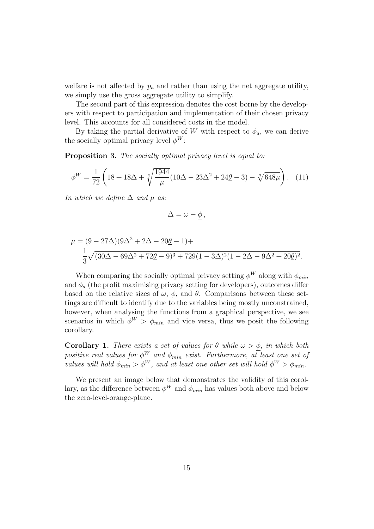welfare is not affected by  $p_a$  and rather than using the net aggregate utility, we simply use the gross aggregate utility to simplify.

The second part of this expression denotes the cost borne by the developers with respect to participation and implementation of their chosen privacy level. This accounts for all considered costs in the model.

By taking the partial derivative of W with respect to  $\phi_a$ , we can derive the socially optimal privacy level  $\phi^W$ :

Proposition 3. The socially optimal privacy level is equal to:

$$
\phi^W = \frac{1}{72} \left( 18 + 18\Delta + \sqrt[3]{\frac{1944}{\mu}} (10\Delta - 23\Delta^2 + 24\underline{\theta} - 3) - \sqrt[3]{648\mu} \right). \tag{11}
$$

In which we define  $\Delta$  and  $\mu$  as:

$$
\Delta = \omega - \underline{\phi}\,,
$$

$$
\mu = (9 - 27\Delta)(9\Delta^2 + 2\Delta - 20\underline{\theta} - 1) +
$$
  

$$
\frac{1}{3}\sqrt{(30\Delta - 69\Delta^2 + 72\underline{\theta} - 9)^3 + 729(1 - 3\Delta)^2(1 - 2\Delta - 9\Delta^2 + 20\underline{\theta})^2}.
$$

When comparing the socially optimal privacy setting  $\phi^W$  along with  $\phi_{min}$ and  $\phi_a$  (the profit maximising privacy setting for developers), outcomes differ based on the relative sizes of  $\omega$ ,  $\phi$ , and  $\underline{\theta}$ . Comparisons between these settings are difficult to identify due to the variables being mostly unconstrained, however, when analysing the functions from a graphical perspective, we see scenarios in which  $\phi^W > \phi_{min}$  and vice versa, thus we posit the following corollary.

**Corollary 1.** There exists a set of values for  $\theta$  while  $\omega > \phi$ , in which both positive real values for  $\phi^W$  and  $\phi_{min}$  exist. Furthermore, at least one set of values will hold  $\phi_{min} > \phi^W$ , and at least one other set will hold  $\phi^W > \phi_{min}$ .

We present an image below that demonstrates the validity of this corollary, as the difference between  $\phi^W$  and  $\phi_{min}$  has values both above and below the zero-level-orange-plane.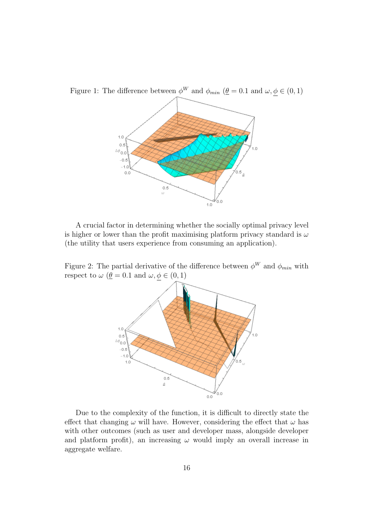

Figure 1: The difference between  $\phi^W$  and  $\phi_{min}$  ( $\underline{\theta} = 0.1$  and  $\omega, \phi \in (0, 1)$ )

A crucial factor in determining whether the socially optimal privacy level is higher or lower than the profit maximising platform privacy standard is  $\omega$ (the utility that users experience from consuming an application).

Figure 2: The partial derivative of the difference between  $\phi^W$  and  $\phi_{min}$  with respect to  $\omega$  ( $\underline{\theta} = 0.1$  and  $\omega, \underline{\phi} \in (0, 1)$ 



Due to the complexity of the function, it is difficult to directly state the effect that changing  $\omega$  will have. However, considering the effect that  $\omega$  has with other outcomes (such as user and developer mass, alongside developer and platform profit), an increasing  $\omega$  would imply an overall increase in aggregate welfare.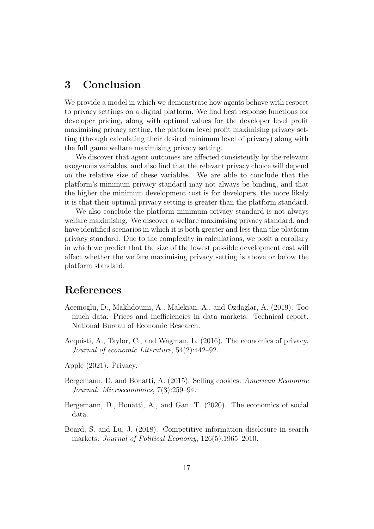## 3 Conclusion

We provide a model in which we demonstrate how agents behave with respect to privacy settings on a digital platform. We find best response functions for developer pricing, along with optimal values for the developer level profit maximising privacy setting, the platform level profit maximising privacy setting (through calculating their desired minimum level of privacy) along with the full game welfare maximising privacy setting.

We discover that agent outcomes are affected consistently by the relevant exogenous variables, and also find that the relevant privacy choice will depend on the relative size of these variables. We are able to conclude that the platform's minimum privacy standard may not always be binding, and that the higher the minimum development cost is for developers, the more likely it is that their optimal privacy setting is greater than the platform standard.

We also conclude the platform minimum privacy standard is not always welfare maximising. We discover a welfare maximising privacy standard, and have identified scenarios in which it is both greater and less than the platform privacy standard. Due to the complexity in calculations, we posit a corollary in which we predict that the size of the lowest possible development cost will affect whether the welfare maximising privacy setting is above or below the platform standard.

## References

- Acemoglu, D., Makhdoumi, A., Malekian, A., and Ozdaglar, A. (2019). Too much data: Prices and inefficiencies in data markets. Technical report, National Bureau of Economic Research.
- Acquisti, A., Taylor, C., and Wagman, L. (2016). The economics of privacy. Journal of economic Literature, 54(2):442–92.
- Apple (2021). Privacy.
- Bergemann, D. and Bonatti, A. (2015). Selling cookies. American Economic Journal: Microeconomics, 7(3):259–94.
- Bergemann, D., Bonatti, A., and Gan, T. (2020). The economics of social data.
- Board, S. and Lu, J. (2018). Competitive information disclosure in search markets. Journal of Political Economy, 126(5):1965–2010.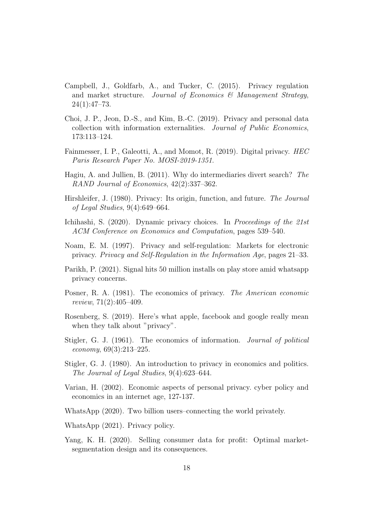- Campbell, J., Goldfarb, A., and Tucker, C. (2015). Privacy regulation and market structure. Journal of Economics  $\mathcal{C}$  Management Strategy,  $24(1):47-73.$
- Choi, J. P., Jeon, D.-S., and Kim, B.-C. (2019). Privacy and personal data collection with information externalities. Journal of Public Economics, 173:113–124.
- Fainmesser, I. P., Galeotti, A., and Momot, R. (2019). Digital privacy. HEC Paris Research Paper No. MOSI-2019-1351.
- Hagiu, A. and Jullien, B. (2011). Why do intermediaries divert search? The RAND Journal of Economics, 42(2):337–362.
- Hirshleifer, J. (1980). Privacy: Its origin, function, and future. The Journal of Legal Studies, 9(4):649–664.
- Ichihashi, S. (2020). Dynamic privacy choices. In Proceedings of the 21st ACM Conference on Economics and Computation, pages 539–540.
- Noam, E. M. (1997). Privacy and self-regulation: Markets for electronic privacy. Privacy and Self-Regulation in the Information Age, pages 21–33.
- Parikh, P. (2021). Signal hits 50 million installs on play store amid whatsapp privacy concerns.
- Posner, R. A. (1981). The economics of privacy. The American economic review, 71(2):405–409.
- Rosenberg, S. (2019). Here's what apple, facebook and google really mean when they talk about "privacy".
- Stigler, G. J. (1961). The economics of information. Journal of political economy, 69(3):213–225.
- Stigler, G. J. (1980). An introduction to privacy in economics and politics. The Journal of Legal Studies, 9(4):623–644.
- Varian, H. (2002). Economic aspects of personal privacy. cyber policy and economics in an internet age, 127-137.
- WhatsApp (2020). Two billion users–connecting the world privately.
- WhatsApp (2021). Privacy policy.
- Yang, K. H. (2020). Selling consumer data for profit: Optimal marketsegmentation design and its consequences.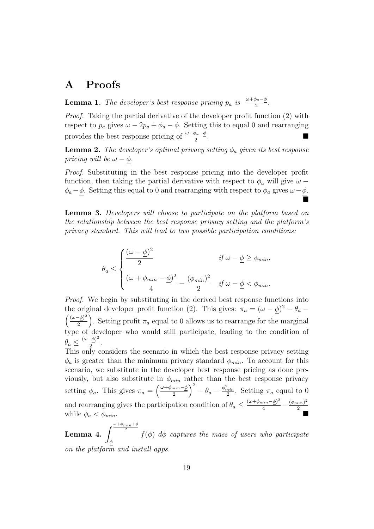## A Proofs

**Lemma 1.** The developer's best response pricing  $p_a$  is  $\frac{\omega + \phi_a - \phi}{2}$ .

Proof. Taking the partial derivative of the developer profit function (2) with respect to  $p_a$  gives  $\omega - 2p_a + \phi_a - \phi$ . Setting this to equal 0 and rearranging provides the best response pricing of  $\frac{\omega + \phi_a - \phi}{2}$ .

**Lemma 2.** The developer's optimal privacy setting  $\phi_a$  given its best response pricing will be  $\omega - \phi$ .

Proof. Substituting in the best response pricing into the developer profit function, then taking the partial derivative with respect to  $\phi_a$  will give  $\omega$  −  $\phi_a-\phi$ . Setting this equal to 0 and rearranging with respect to  $\phi_a$  gives  $\omega-\phi$ .  $\blacksquare$ 

Lemma 3. Developers will choose to participate on the platform based on the relationship between the best response privacy setting and the platform's privacy standard. This will lead to two possible participation conditions:

$$
\theta_a \le \begin{cases} \dfrac{(\omega - \underline{\phi})^2}{2} & \text{if } \omega - \underline{\phi} \ge \phi_{min}, \\ \\ \dfrac{(\omega + \phi_{min} - \underline{\phi})^2}{4} - \dfrac{(\phi_{min})^2}{2} & \text{if } \omega - \underline{\phi} < \phi_{min}. \end{cases}
$$

Proof. We begin by substituting in the derived best response functions into the original developer profit function (2). This gives:  $\pi_a = (\omega - \phi)^2 - \theta_a$  $\int \frac{(\omega-\phi)^2}{\phi}$  $\left(\frac{-\phi}{2}\right)^2$ . Setting profit  $\pi_a$  equal to 0 allows us to rearrange for the marginal type of developer who would still participate, leading to the condition of  $\theta_a \leq \frac{(\omega - \underline{\phi})^2}{2}$  $rac{\frac{1}{2}}{2}$ .

This only considers the scenario in which the best response privacy setting  $\phi_a$  is greater than the minimum privacy standard  $\phi_{min}$ . To account for this scenario, we substitute in the developer best response pricing as done previously, but also substitute in  $\phi_{min}$  rather than the best response privacy setting  $\phi_a$ . This gives  $\pi_a = \left(\frac{\omega + \phi_{min} - \phi}{2}\right)$  $\left(\frac{min-\phi}{2}\right)^2 - \theta_a - \frac{\phi_{min}^2}{2}$ . Setting  $\pi_a$  equal to 0 and rearranging gives the participation condition of  $\theta_a \leq \frac{(\omega + \phi_{min} - \underline{\phi})^2}{4} - \frac{(\phi_{min})^2}{2}$ while  $\phi_a < \phi_{min}$ .

Lemma 4.  $\int^{\frac{\omega+\phi_{min}+\phi}{2}}$ 2 φ  $f(\phi)$  d $\phi$  captures the mass of users who participate on the platform and install apps.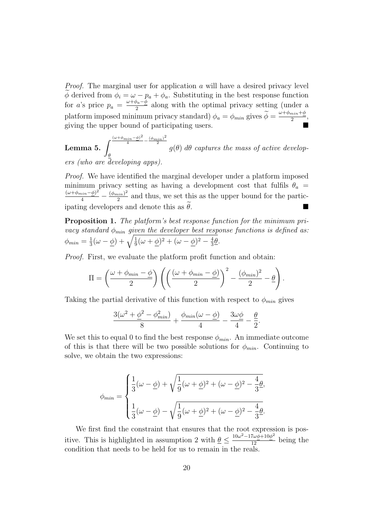*Proof.* The marginal user for application  $a$  will have a desired privacy level  $\phi$  derived from  $\phi_i = \omega - p_a + \phi_a$ . Substituting in the best response function for a's price  $p_a = \frac{\omega + \phi_a - \overline{\phi}}{2}$  $\frac{\rho_a - \rho_a}{2}$  along with the optimal privacy setting (under a platform imposed minimum privacy standard)  $\phi_a = \phi_{min}$  gives  $\widetilde{\phi} = \frac{\omega + \phi_{min} + \phi}{2}$  $\frac{n i n + \underline{\varphi}}{2},$ giving the upper bound of participating users.

Lemma 5.  $\int^{\frac{(\omega+\phi_{min}-\underline{\phi})^2}{4}-\frac{(\phi_{min})^2}{2}}$ 2 θ  $g(\theta)$  d $\theta$  captures the mass of active developers (who are developing apps).

Proof. We have identified the marginal developer under a platform imposed minimum privacy setting as having a development cost that fulfils  $\theta_a$  =  $\frac{(\omega+\phi_{min}-\underline{\phi})^2}{4} - \frac{(\phi_{min})^2}{2}$  $\frac{sin 7}{2}$  and thus, we set this as the upper bound for the participating developers and denote this as  $\theta$ .

Proposition 1. The platform's best response function for the minimum privacy standard  $\phi_{min}$  given the developer best response functions is defined as:  $\phi_{min}=\frac{1}{3}$  $\frac{1}{3}(\omega-\phi)+\sqrt{\frac{1}{9}(\omega+\phi)^2+(\omega-\phi)^2-\frac{4}{3}}$  $rac{4}{3}$  $\theta$ .

Proof. First, we evaluate the platform profit function and obtain:

$$
\Pi = \left(\frac{\omega + \phi_{min} - \underline{\phi}}{2}\right) \left( \left(\frac{(\omega + \phi_{min} - \underline{\phi})}{2}\right)^2 - \frac{(\phi_{min})^2}{2} - \underline{\theta} \right).
$$

Taking the partial derivative of this function with respect to  $\phi_{min}$  gives

$$
\frac{3(\omega^2+\underline{\phi}^2-\phi_{min}^2)}{8}+\frac{\phi_{min}(\omega-\underline{\phi})}{4}-\frac{3\omega\underline{\phi}}{4}-\frac{\underline{\theta}}{2}.
$$

We set this to equal 0 to find the best response  $\phi_{min}$ . An immediate outcome of this is that there will be two possible solutions for  $\phi_{min}$ . Continuing to solve, we obtain the two expressions:

$$
\phi_{min} = \begin{cases} \frac{1}{3}(\omega - \underline{\phi}) + \sqrt{\frac{1}{9}(\omega + \underline{\phi})^2 + (\omega - \underline{\phi})^2 - \frac{4}{3}\underline{\theta}}, \\ \\ \frac{1}{3}(\omega - \underline{\phi}) - \sqrt{\frac{1}{9}(\omega + \underline{\phi})^2 + (\omega - \underline{\phi})^2 - \frac{4}{3}\underline{\theta}}. \end{cases}
$$

We first find the constraint that ensures that the root expression is positive. This is highlighted in assumption 2 with  $\underline{\theta} \leq \frac{10\omega^2 - 17\omega\phi + 10\phi^2}{12}$  being the condition that needs to be held for us to remain in the reals.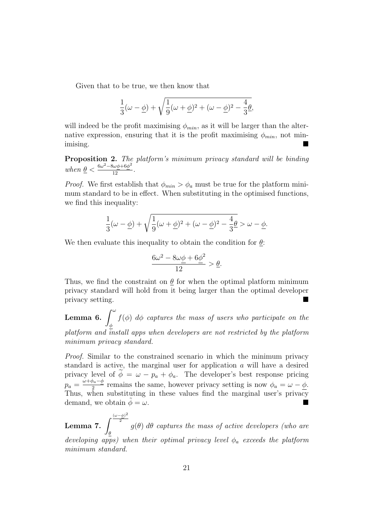Given that to be true, we then know that

$$
\frac{1}{3}(\omega - \underline{\phi}) + \sqrt{\frac{1}{9}(\omega + \underline{\phi})^2 + (\omega - \underline{\phi})^2 - \frac{4}{3}\underline{\theta}},
$$

will indeed be the profit maximising  $\phi_{min}$ , as it will be larger than the alternative expression, ensuring that it is the profit maximising  $\phi_{min}$ , not minimising.

**Proposition 2.** The platform's minimum privacy standard will be binding when  $\underline{\theta} < \frac{6\omega^2 - 8\omega\phi + 6\phi^2}{12}$ .

*Proof.* We first establish that  $\phi_{min} > \phi_a$  must be true for the platform minimum standard to be in effect. When substituting in the optimised functions, we find this inequality:

$$
\frac{1}{3}(\omega - \underline{\phi}) + \sqrt{\frac{1}{9}(\omega + \underline{\phi})^2 + (\omega - \underline{\phi})^2 - \frac{4}{3}\underline{\theta}} > \omega - \underline{\phi}.
$$

We then evaluate this inequality to obtain the condition for  $\theta$ :

$$
\frac{6\omega^2 - 8\omega\phi + 6\phi^2}{12} > \underline{\theta}.
$$

Thus, we find the constraint on  $\theta$  for when the optimal platform minimum privacy standard will hold from it being larger than the optimal developer privacy setting.

Lemma 6.  $\int^\omega$ φ  $f(\phi)$  d $\phi$  captures the mass of users who participate on the platform and install apps when developers are not restricted by the platform minimum privacy standard.

Proof. Similar to the constrained scenario in which the minimum privacy standard is active, the marginal user for application a will have a desired privacy level of  $\phi = \omega - p_a + \phi_a$ . The developer's best response pricing  $p_a = \frac{\omega + \phi_a - \phi}{2}$  $\frac{\phi_a - \phi}{2}$  remains the same, however privacy setting is now  $\phi_a = \omega - \phi$ . Thus, when substituting in these values find the marginal user's privacy demand, we obtain  $\phi = \omega$ .

Lemma 7.  $\int^{\frac{(\omega-\underline{\phi})^2}{2}}$ 2 θ  $g(\theta)$  d $\theta$  captures the mass of active developers (who are developing apps) when their optimal privacy level  $\phi_a$  exceeds the platform minimum standard.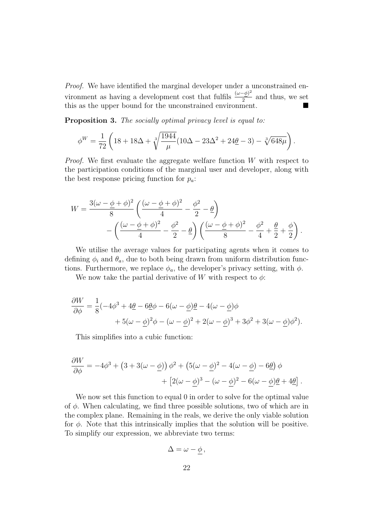Proof. We have identified the marginal developer under a unconstrained environment as having a development cost that fulfils  $\frac{(\omega - \phi)^2}{2}$  $\frac{2\psi}{2}$  and thus, we set this as the upper bound for the unconstrained environment.

Proposition 3. The socially optimal privacy level is equal to:

$$
\phi^W = \frac{1}{72} \left( 18 + 18\Delta + \sqrt[3]{\frac{1944}{\mu}} (10\Delta - 23\Delta^2 + 24\underline{\theta} - 3) - \sqrt[3]{648\mu} \right).
$$

Proof. We first evaluate the aggregate welfare function W with respect to the participation conditions of the marginal user and developer, along with the best response pricing function for  $p_a$ :

$$
W = \frac{3(\omega - \phi + \phi)^2}{8} \left( \frac{(\omega - \phi + \phi)^2}{4} - \frac{\phi^2}{2} - \theta \right)
$$

$$
- \left( \frac{(\omega - \phi + \phi)^2}{4} - \frac{\phi^2}{2} - \theta \right) \left( \frac{(\omega - \phi + \phi)^2}{8} - \frac{\phi^2}{4} + \frac{\theta}{2} + \frac{\phi}{2} \right).
$$

We utilise the average values for participating agents when it comes to defining  $\phi_i$  and  $\theta_a$ , due to both being drawn from uniform distribution functions. Furthermore, we replace  $\phi_a$ , the developer's privacy setting, with  $\phi$ .

We now take the partial derivative of W with respect to  $\phi$ :

$$
\frac{\partial W}{\partial \phi} = \frac{1}{8}(-4\phi^3 + 4\underline{\theta} - 6\underline{\theta}\phi - 6(\omega - \underline{\phi})\underline{\theta} - 4(\omega - \underline{\phi})\phi \n+ 5(\omega - \underline{\phi})^2\phi - (\omega - \underline{\phi})^2 + 2(\omega - \underline{\phi})^3 + 3\phi^2 + 3(\omega - \underline{\phi})\phi^2).
$$

This simplifies into a cubic function:

$$
\frac{\partial W}{\partial \phi} = -4\phi^3 + (3 + 3(\omega - \underline{\phi}))\phi^2 + (5(\omega - \underline{\phi})^2 - 4(\omega - \underline{\phi}) - 6\underline{\theta})\phi + [2(\omega - \underline{\phi})^3 - (\omega - \underline{\phi})^2 - 6(\omega - \underline{\phi})\underline{\theta} + 4\underline{\theta}].
$$

We now set this function to equal 0 in order to solve for the optimal value of  $\phi$ . When calculating, we find three possible solutions, two of which are in the complex plane. Remaining in the reals, we derive the only viable solution for  $\phi$ . Note that this intrinsically implies that the solution will be positive. To simplify our expression, we abbreviate two terms:

$$
\Delta = \omega - \phi \,,
$$